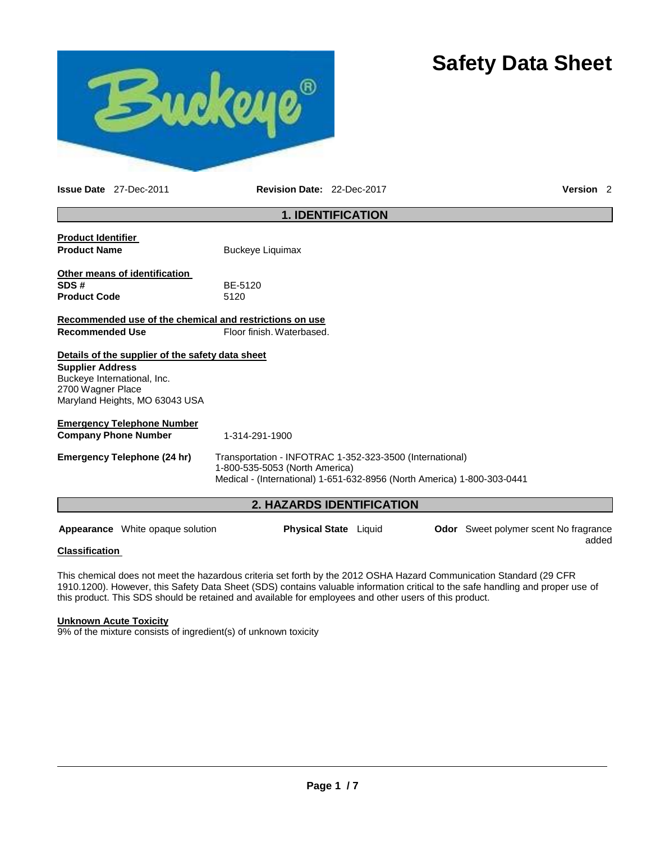# **Safety Data Sheet**



**Issue Date** 27-Dec-2011 **Revision Date:** 22-Dec-2017 **Version** 2

| <b>1. IDENTIFICATION</b>                                |                                                                                       |  |  |
|---------------------------------------------------------|---------------------------------------------------------------------------------------|--|--|
| <b>Product Identifier</b>                               |                                                                                       |  |  |
| <b>Product Name</b>                                     | <b>Buckeye Liquimax</b>                                                               |  |  |
| Other means of identification                           |                                                                                       |  |  |
| SDS#                                                    | BE-5120                                                                               |  |  |
| <b>Product Code</b>                                     | 5120                                                                                  |  |  |
| Recommended use of the chemical and restrictions on use |                                                                                       |  |  |
| <b>Recommended Use</b>                                  | Floor finish, Waterbased.                                                             |  |  |
| Details of the supplier of the safety data sheet        |                                                                                       |  |  |
| <b>Supplier Address</b>                                 |                                                                                       |  |  |
| Buckeye International, Inc.                             |                                                                                       |  |  |
| 2700 Wagner Place                                       |                                                                                       |  |  |
| Maryland Heights, MO 63043 USA                          |                                                                                       |  |  |
| <b>Emergency Telephone Number</b>                       |                                                                                       |  |  |
| <b>Company Phone Number</b>                             | 1-314-291-1900                                                                        |  |  |
| <b>Emergency Telephone (24 hr)</b>                      | Transportation - INFOTRAC 1-352-323-3500 (International)                              |  |  |
|                                                         | 1-800-535-5053 (North America)                                                        |  |  |
|                                                         | Medical - (International) 1-651-632-8956 (North America) 1-800-303-0441               |  |  |
| <b>2. HAZARDS IDENTIFICATION</b>                        |                                                                                       |  |  |
|                                                         |                                                                                       |  |  |
| <b>Appearance</b> White opaque solution                 | <b>Physical State</b> Liquid<br><b>Odor</b> Sweet polymer scent No fragrance<br>added |  |  |

#### **Classification**

This chemical does not meet the hazardous criteria set forth by the 2012 OSHA Hazard Communication Standard (29 CFR 1910.1200). However, this Safety Data Sheet (SDS) contains valuable information critical to the safe handling and proper use of this product. This SDS should be retained and available for employees and other users of this product.

#### **Unknown Acute Toxicity**

9% of the mixture consists of ingredient(s) of unknown toxicity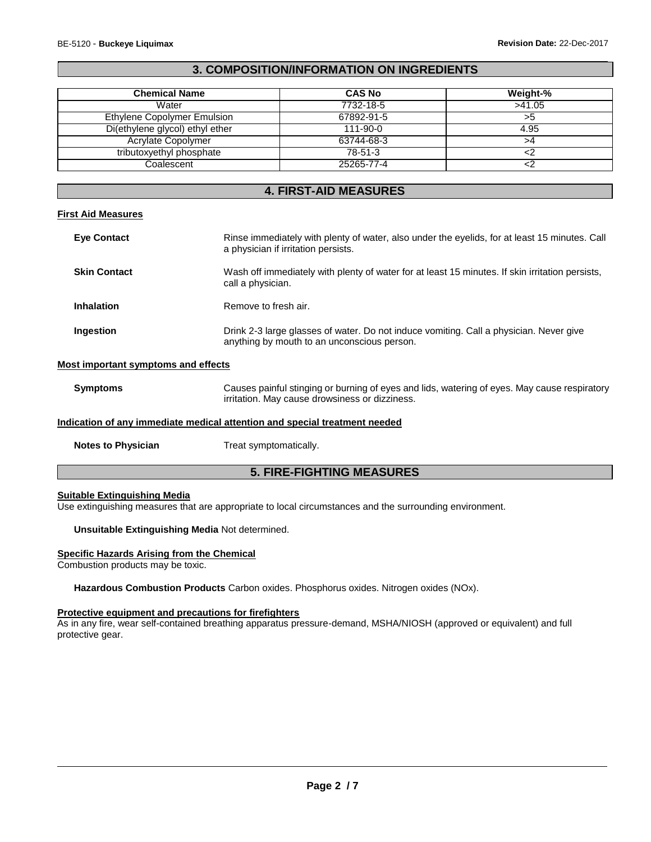## **3. COMPOSITION/INFORMATION ON INGREDIENTS**

| <b>Chemical Name</b>            | <b>CAS No</b> | Weight-% |
|---------------------------------|---------------|----------|
| Water                           | 7732-18-5     | >41.05   |
| Ethylene Copolymer Emulsion     | 67892-91-5    |          |
| Di(ethylene glycol) ethyl ether | 111-90-0      | 4.95     |
| Acrylate Copolymer              | 63744-68-3    |          |
| tributoxyethyl phosphate        | $78 - 51 - 3$ |          |
| Coalescent                      | 25265-77-4    |          |

### **4. FIRST-AID MEASURES**

### **First Aid Measures**

| <b>Eye Contact</b>  | Rinse immediately with plenty of water, also under the eyelids, for at least 15 minutes. Call<br>a physician if irritation persists.  |
|---------------------|---------------------------------------------------------------------------------------------------------------------------------------|
| <b>Skin Contact</b> | Wash off immediately with plenty of water for at least 15 minutes. If skin irritation persists,<br>call a physician.                  |
| <b>Inhalation</b>   | Remove to fresh air.                                                                                                                  |
| <b>Ingestion</b>    | Drink 2-3 large glasses of water. Do not induce vomiting. Call a physician. Never give<br>anything by mouth to an unconscious person. |

#### **Most important symptoms and effects**

**Symptoms** Causes painful stinging or burning of eyes and lids, watering of eyes. May cause respiratory irritation. May cause drowsiness or dizziness.

## **Indication of any immediate medical attention and special treatment needed**

**Notes to Physician** Treat symptomatically.

## **5. FIRE-FIGHTING MEASURES**

#### **Suitable Extinguishing Media**

Use extinguishing measures that are appropriate to local circumstances and the surrounding environment.

#### **Unsuitable Extinguishing Media** Not determined.

#### **Specific Hazards Arising from the Chemical**

Combustion products may be toxic.

**Hazardous Combustion Products** Carbon oxides. Phosphorus oxides. Nitrogen oxides (NOx).

#### **Protective equipment and precautions for firefighters**

As in any fire, wear self-contained breathing apparatus pressure-demand, MSHA/NIOSH (approved or equivalent) and full protective gear.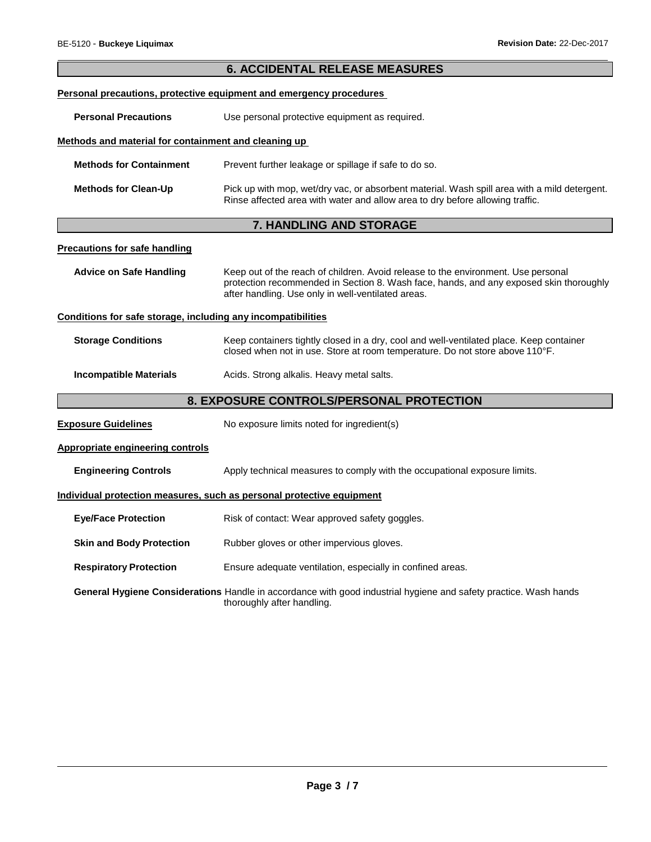| <b>6. ACCIDENTAL RELEASE MEASURES</b>                        |                                                                                                                                                                                                                                   |  |  |
|--------------------------------------------------------------|-----------------------------------------------------------------------------------------------------------------------------------------------------------------------------------------------------------------------------------|--|--|
|                                                              | Personal precautions, protective equipment and emergency procedures                                                                                                                                                               |  |  |
| <b>Personal Precautions</b>                                  | Use personal protective equipment as required.                                                                                                                                                                                    |  |  |
| Methods and material for containment and cleaning up         |                                                                                                                                                                                                                                   |  |  |
| <b>Methods for Containment</b>                               | Prevent further leakage or spillage if safe to do so.                                                                                                                                                                             |  |  |
| <b>Methods for Clean-Up</b>                                  | Pick up with mop, wet/dry vac, or absorbent material. Wash spill area with a mild detergent.<br>Rinse affected area with water and allow area to dry before allowing traffic.                                                     |  |  |
|                                                              | 7. HANDLING AND STORAGE                                                                                                                                                                                                           |  |  |
| <b>Precautions for safe handling</b>                         |                                                                                                                                                                                                                                   |  |  |
| <b>Advice on Safe Handling</b>                               | Keep out of the reach of children. Avoid release to the environment. Use personal<br>protection recommended in Section 8. Wash face, hands, and any exposed skin thoroughly<br>after handling. Use only in well-ventilated areas. |  |  |
| Conditions for safe storage, including any incompatibilities |                                                                                                                                                                                                                                   |  |  |
| <b>Storage Conditions</b>                                    | Keep containers tightly closed in a dry, cool and well-ventilated place. Keep container<br>closed when not in use. Store at room temperature. Do not store above 110°F.                                                           |  |  |
| <b>Incompatible Materials</b>                                | Acids. Strong alkalis. Heavy metal salts.                                                                                                                                                                                         |  |  |
|                                                              | 8. EXPOSURE CONTROLS/PERSONAL PROTECTION                                                                                                                                                                                          |  |  |
| <b>Exposure Guidelines</b>                                   | No exposure limits noted for ingredient(s)                                                                                                                                                                                        |  |  |
| <b>Appropriate engineering controls</b>                      |                                                                                                                                                                                                                                   |  |  |
| <b>Engineering Controls</b>                                  | Apply technical measures to comply with the occupational exposure limits.                                                                                                                                                         |  |  |
|                                                              | Individual protection measures, such as personal protective equipment                                                                                                                                                             |  |  |
| <b>Eye/Face Protection</b>                                   | Risk of contact: Wear approved safety goggles.                                                                                                                                                                                    |  |  |
| <b>Skin and Body Protection</b>                              | Rubber gloves or other impervious gloves.                                                                                                                                                                                         |  |  |
| <b>Respiratory Protection</b>                                | Ensure adequate ventilation, especially in confined areas.                                                                                                                                                                        |  |  |
|                                                              | General Hygiene Considerations Handle in accordance with good industrial hygiene and safety practice. Wash hands<br>thoroughly after handling.                                                                                    |  |  |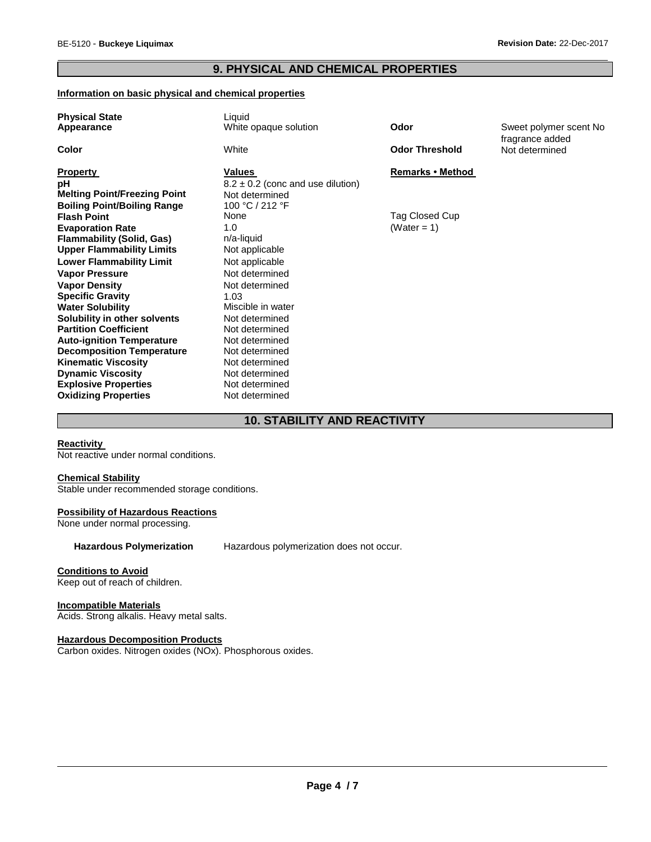# **9. PHYSICAL AND CHEMICAL PROPERTIES**

#### **Information on basic physical and chemical properties**

| <b>Physical State</b><br>Appearance                                  | Liquid<br>White opaque solution                         | Odor                  | Sweet polymer scent No<br>fragrance added |
|----------------------------------------------------------------------|---------------------------------------------------------|-----------------------|-------------------------------------------|
| Color                                                                | White                                                   | <b>Odor Threshold</b> | Not determined                            |
| <b>Property</b><br>рH                                                | Values                                                  | Remarks • Method      |                                           |
| <b>Melting Point/Freezing Point</b>                                  | $8.2 \pm 0.2$ (conc and use dilution)<br>Not determined |                       |                                           |
| <b>Boiling Point/Boiling Range</b>                                   | 100 °C / 212 °F                                         |                       |                                           |
| <b>Flash Point</b>                                                   | None                                                    | Tag Closed Cup        |                                           |
| <b>Evaporation Rate</b>                                              | 1.0                                                     | (Water = 1)           |                                           |
| <b>Flammability (Solid, Gas)</b><br><b>Upper Flammability Limits</b> | n/a-liquid<br>Not applicable                            |                       |                                           |
| <b>Lower Flammability Limit</b>                                      | Not applicable                                          |                       |                                           |
| <b>Vapor Pressure</b>                                                | Not determined                                          |                       |                                           |
| <b>Vapor Density</b>                                                 | Not determined                                          |                       |                                           |
| <b>Specific Gravity</b>                                              | 1.03                                                    |                       |                                           |
| <b>Water Solubility</b>                                              | Miscible in water                                       |                       |                                           |
| Solubility in other solvents<br><b>Partition Coefficient</b>         | Not determined<br>Not determined                        |                       |                                           |
| <b>Auto-ignition Temperature</b>                                     | Not determined                                          |                       |                                           |
| <b>Decomposition Temperature</b>                                     | Not determined                                          |                       |                                           |
| <b>Kinematic Viscosity</b>                                           | Not determined                                          |                       |                                           |
| <b>Dynamic Viscosity</b>                                             | Not determined                                          |                       |                                           |
| <b>Explosive Properties</b>                                          | Not determined                                          |                       |                                           |
| <b>Oxidizing Properties</b>                                          | Not determined                                          |                       |                                           |

## **10. STABILITY AND REACTIVITY**

## **Reactivity**

Not reactive under normal conditions.

## **Chemical Stability**

Stable under recommended storage conditions.

#### **Possibility of Hazardous Reactions**

None under normal processing.

**Hazardous Polymerization** Hazardous polymerization does not occur.

## **Conditions to Avoid**

Keep out of reach of children.

#### **Incompatible Materials**

Acids. Strong alkalis. Heavy metal salts.

#### **Hazardous Decomposition Products**

Carbon oxides. Nitrogen oxides (NOx). Phosphorous oxides.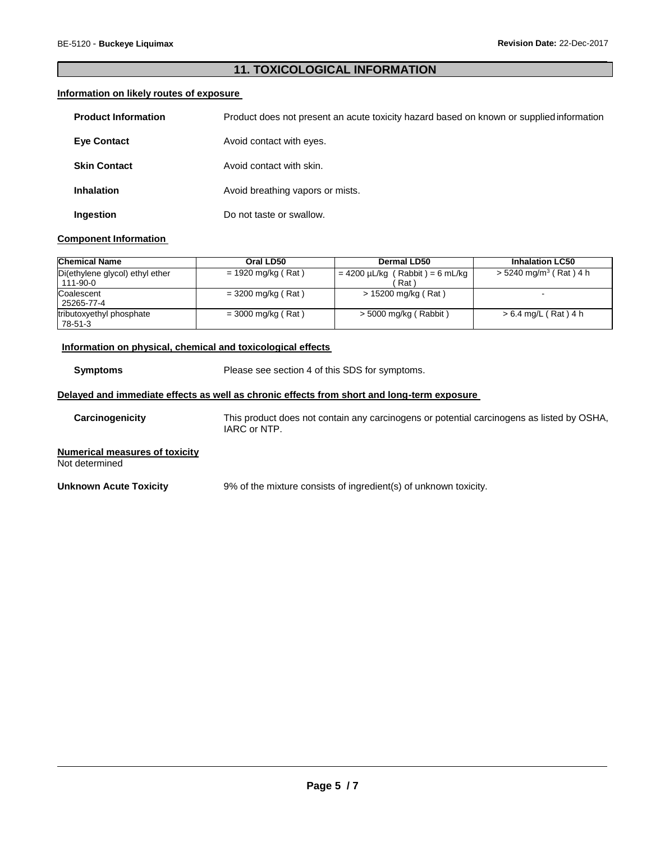## **11. TOXICOLOGICAL INFORMATION**

## **Information on likely routes of exposure**

| <b>Product Information</b> | Product does not present an acute toxicity hazard based on known or supplied information |
|----------------------------|------------------------------------------------------------------------------------------|
| <b>Eye Contact</b>         | Avoid contact with eyes.                                                                 |
| <b>Skin Contact</b>        | Avoid contact with skin.                                                                 |
| <b>Inhalation</b>          | Avoid breathing vapors or mists.                                                         |
| Ingestion                  | Do not taste or swallow.                                                                 |

#### **Component Information**

| <b>Chemical Name</b>                        | Oral LD50            | <b>Dermal LD50</b>                           | <b>Inhalation LC50</b>               |
|---------------------------------------------|----------------------|----------------------------------------------|--------------------------------------|
| Di(ethylene glycol) ethyl ether<br>111-90-0 | $= 1920$ mg/kg (Rat) | $= 4200 \mu L/kg$ (Rabbit) = 6 mL/kg<br>Rat) | $>$ 5240 mg/m <sup>3</sup> (Rat) 4 h |
| Coalescent<br>25265-77-4                    | $= 3200$ mg/kg (Rat) | > 15200 mg/kg (Rat)                          | $\sim$                               |
| tributoxyethyl phosphate<br>78-51-3         | $=$ 3000 mg/kg (Rat) | $>$ 5000 mg/kg (Rabbit)                      | > 6.4 mg/L (Rat) 4 h                 |

#### **Information on physical, chemical and toxicological effects**

**Symptoms** Please see section 4 of this SDS for symptoms.

#### **Delayed and immediate effects as well as chronic effects from short and long-term exposure**

**Carcinogenicity** This product does not contain any carcinogens or potential carcinogens as listed by OSHA, IARC or NTP.

**Numerical measures of toxicity** Not determined

**Unknown Acute Toxicity** 9% of the mixture consists of ingredient(s) of unknown toxicity.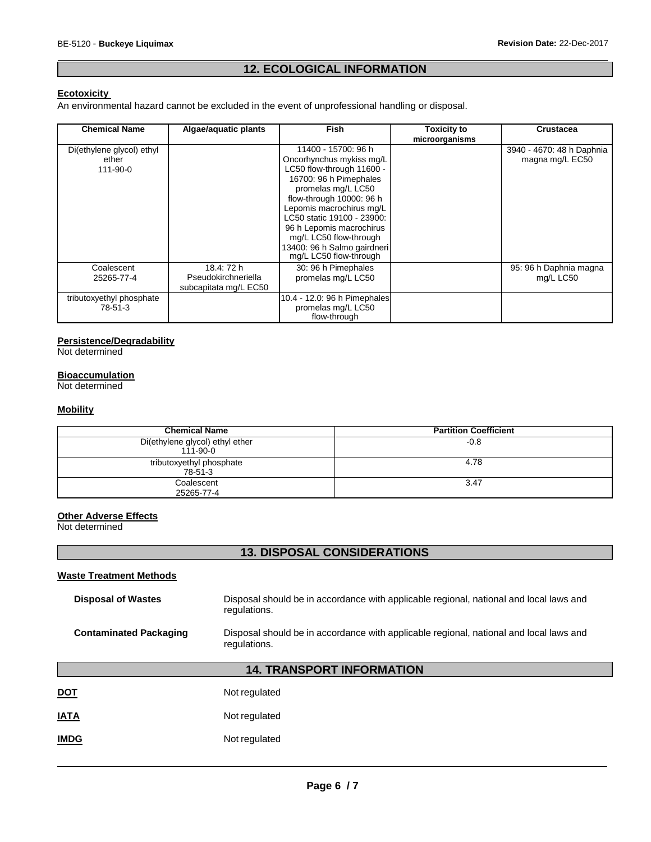# **12. ECOLOGICAL INFORMATION**

## **Ecotoxicity**

An environmental hazard cannot be excluded in the event of unprofessional handling or disposal.

| <b>Chemical Name</b>                                 | Algae/aquatic plants                                       | <b>Fish</b>                                                                                                                                                                                                                                                                                                                       | <b>Toxicity to</b><br>microorganisms | Crustacea                                    |
|------------------------------------------------------|------------------------------------------------------------|-----------------------------------------------------------------------------------------------------------------------------------------------------------------------------------------------------------------------------------------------------------------------------------------------------------------------------------|--------------------------------------|----------------------------------------------|
| Di(ethylene glycol) ethyl<br>ether<br>$111 - 90 - 0$ |                                                            | 11400 - 15700: 96 h<br>Oncorhynchus mykiss mg/L<br>LC50 flow-through 11600 -<br>16700: 96 h Pimephales<br>promelas mg/L LC50<br>flow-through 10000: 96 h<br>Lepomis macrochirus mg/L<br>LC50 static 19100 - 23900:<br>96 h Lepomis macrochirus<br>mg/L LC50 flow-through<br>13400: 96 h Salmo gairdneri<br>mg/L LC50 flow-through |                                      | 3940 - 4670: 48 h Daphnia<br>magna mg/L EC50 |
| Coalescent<br>25265-77-4                             | 18.4: 72 h<br>Pseudokirchneriella<br>subcapitata mg/L EC50 | 30: 96 h Pimephales<br>promelas mg/L LC50                                                                                                                                                                                                                                                                                         |                                      | 95: 96 h Daphnia magna<br>mg/L LC50          |
| tributoxyethyl phosphate<br>78-51-3                  |                                                            | 10.4 - 12.0: 96 h Pimephales<br>promelas mg/L LC50<br>flow-through                                                                                                                                                                                                                                                                |                                      |                                              |

## **Persistence/Degradability**

Not determined

#### **Bioaccumulation**

Not determined

## **Mobility**

| <b>Chemical Name</b>                        | <b>Partition Coefficient</b> |
|---------------------------------------------|------------------------------|
| Di(ethylene glycol) ethyl ether<br>111-90-0 | $-0.8$                       |
| tributoxyethyl phosphate<br>78-51-3         | 4.78                         |
| Coalescent<br>25265-77-4                    | 3.47                         |

### **Other Adverse Effects**

Not determined

# **13. DISPOSAL CONSIDERATIONS**

## **Waste Treatment Methods**

| <b>Disposal of Wastes</b>     | Disposal should be in accordance with applicable regional, national and local laws and<br>regulations. |
|-------------------------------|--------------------------------------------------------------------------------------------------------|
| <b>Contaminated Packaging</b> | Disposal should be in accordance with applicable regional, national and local laws and<br>regulations. |

# **14. TRANSPORT INFORMATION**

| <b>DOT</b> | Not regulated |
|------------|---------------|
|            |               |

**IATA** Not regulated

## **IMDG** Not regulated